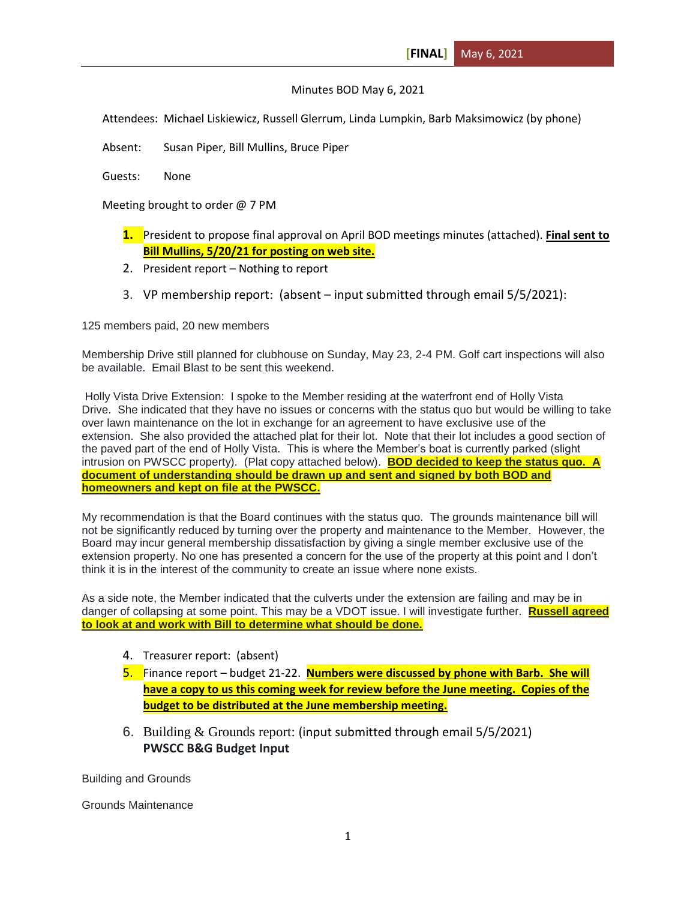## Minutes BOD May 6, 2021

Attendees: Michael Liskiewicz, Russell Glerrum, Linda Lumpkin, Barb Maksimowicz (by phone)

Absent: Susan Piper, Bill Mullins, Bruce Piper

Guests: None

Meeting brought to order @ 7 PM

- **1.** President to propose final approval on April BOD meetings minutes (attached). **Final sent to Bill Mullins, 5/20/21 for posting on web site.**
- 2. President report Nothing to report
- 3. VP membership report: (absent input submitted through email 5/5/2021):

125 members paid, 20 new members

Membership Drive still planned for clubhouse on Sunday, May 23, 2-4 PM. Golf cart inspections will also be available. Email Blast to be sent this weekend.

Holly Vista Drive Extension: I spoke to the Member residing at the waterfront end of Holly Vista Drive. She indicated that they have no issues or concerns with the status quo but would be willing to take over lawn maintenance on the lot in exchange for an agreement to have exclusive use of the extension. She also provided the attached plat for their lot. Note that their lot includes a good section of the paved part of the end of Holly Vista. This is where the Member's boat is currently parked (slight intrusion on PWSCC property). (Plat copy attached below). **BOD decided to keep the status quo. A document of understanding should be drawn up and sent and signed by both BOD and homeowners and kept on file at the PWSCC.**

My recommendation is that the Board continues with the status quo. The grounds maintenance bill will not be significantly reduced by turning over the property and maintenance to the Member. However, the Board may incur general membership dissatisfaction by giving a single member exclusive use of the extension property. No one has presented a concern for the use of the property at this point and I don't think it is in the interest of the community to create an issue where none exists.

As a side note, the Member indicated that the culverts under the extension are failing and may be in danger of collapsing at some point. This may be a VDOT issue. I will investigate further. **Russell agreed to look at and work with Bill to determine what should be done.**

- 4. Treasurer report: (absent)
- 5. Finance report budget 21-22. **Numbers were discussed by phone with Barb. She will have a copy to us this coming week for review before the June meeting. Copies of the budget to be distributed at the June membership meeting.**
- 6. Building & Grounds report: (input submitted through email 5/5/2021) **PWSCC B&G Budget Input**

Building and Grounds

Grounds Maintenance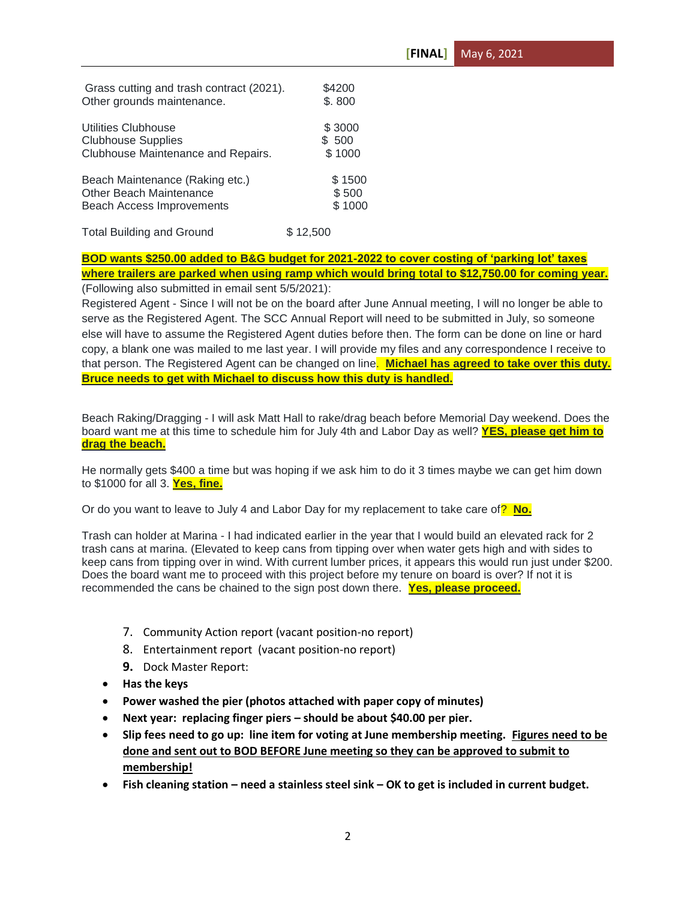| Grass cutting and trash contract (2021). | \$4200   |
|------------------------------------------|----------|
| Other grounds maintenance.               | \$.800   |
| Utilities Clubhouse                      | \$3000   |
| <b>Clubhouse Supplies</b>                | \$500    |
| Clubhouse Maintenance and Repairs.       | \$1000   |
| Beach Maintenance (Raking etc.)          | \$1500   |
| Other Beach Maintenance                  | \$500    |
| <b>Beach Access Improvements</b>         | \$1000   |
| <b>Total Building and Ground</b>         | \$12.500 |

## **BOD wants \$250.00 added to B&G budget for 2021-2022 to cover costing of 'parking lot' taxes where trailers are parked when using ramp which would bring total to \$12,750.00 for coming year.** (Following also submitted in email sent 5/5/2021):

Registered Agent - Since I will not be on the board after June Annual meeting, I will no longer be able to serve as the Registered Agent. The SCC Annual Report will need to be submitted in July, so someone else will have to assume the Registered Agent duties before then. The form can be done on line or hard copy, a blank one was mailed to me last year. I will provide my files and any correspondence I receive to that person. The Registered Agent can be changed on line. **Michael has agreed to take over this duty. Bruce needs to get with Michael to discuss how this duty is handled.**

Beach Raking/Dragging - I will ask Matt Hall to rake/drag beach before Memorial Day weekend. Does the board want me at this time to schedule him for July 4th and Labor Day as well? **YES, please get him to drag the beach.**

He normally gets \$400 a time but was hoping if we ask him to do it 3 times maybe we can get him down to \$1000 for all 3. **Yes, fine.**

Or do you want to leave to July 4 and Labor Day for my replacement to take care of? **No.**

Trash can holder at Marina - I had indicated earlier in the year that I would build an elevated rack for 2 trash cans at marina. (Elevated to keep cans from tipping over when water gets high and with sides to keep cans from tipping over in wind. With current lumber prices, it appears this would run just under \$200. Does the board want me to proceed with this project before my tenure on board is over? If not it is recommended the cans be chained to the sign post down there. **Yes, please proceed.**

- 7. Community Action report (vacant position-no report)
- 8. Entertainment report (vacant position-no report)
- **9.** Dock Master Report:
- **Has the keys**
- **Power washed the pier (photos attached with paper copy of minutes)**
- **Next year: replacing finger piers – should be about \$40.00 per pier.**
- **Slip fees need to go up: line item for voting at June membership meeting. Figures need to be done and sent out to BOD BEFORE June meeting so they can be approved to submit to membership!**
- **Fish cleaning station – need a stainless steel sink – OK to get is included in current budget.**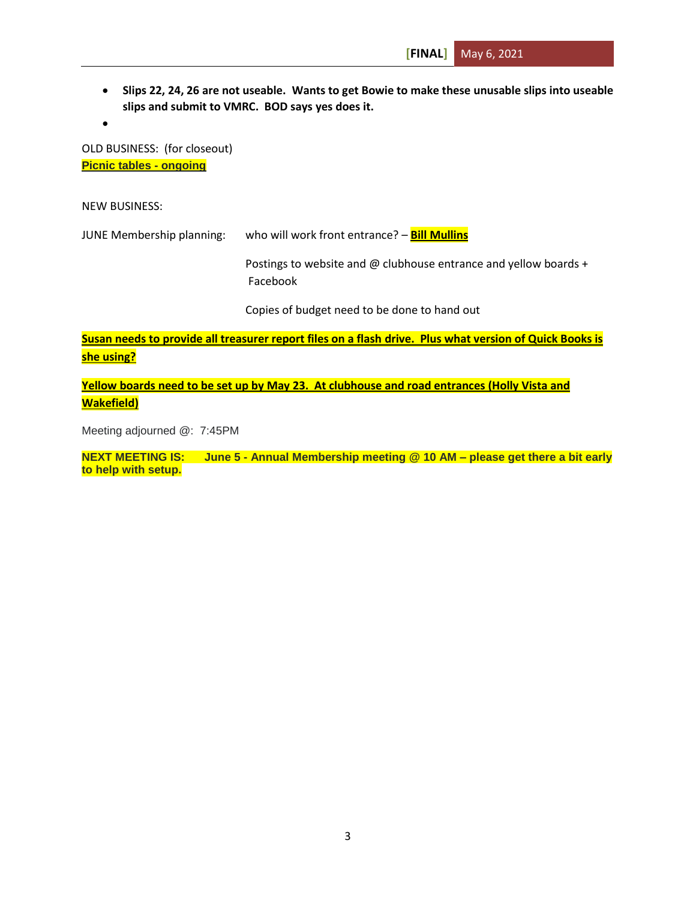**Slips 22, 24, 26 are not useable. Wants to get Bowie to make these unusable slips into useable slips and submit to VMRC. BOD says yes does it.**

 $\bullet$ 

OLD BUSINESS: (for closeout) **Picnic tables - ongoing**

NEW BUSINESS:

JUNE Membership planning: who will work front entrance? – **Bill Mullins**

Postings to website and @ clubhouse entrance and yellow boards + Facebook

Copies of budget need to be done to hand out

**Susan needs to provide all treasurer report files on a flash drive. Plus what version of Quick Books is she using?**

**Yellow boards need to be set up by May 23. At clubhouse and road entrances (Holly Vista and Wakefield)**

Meeting adjourned @: 7:45PM

**NEXT MEETING IS: June 5 - Annual Membership meeting @ 10 AM – please get there a bit early to help with setup.**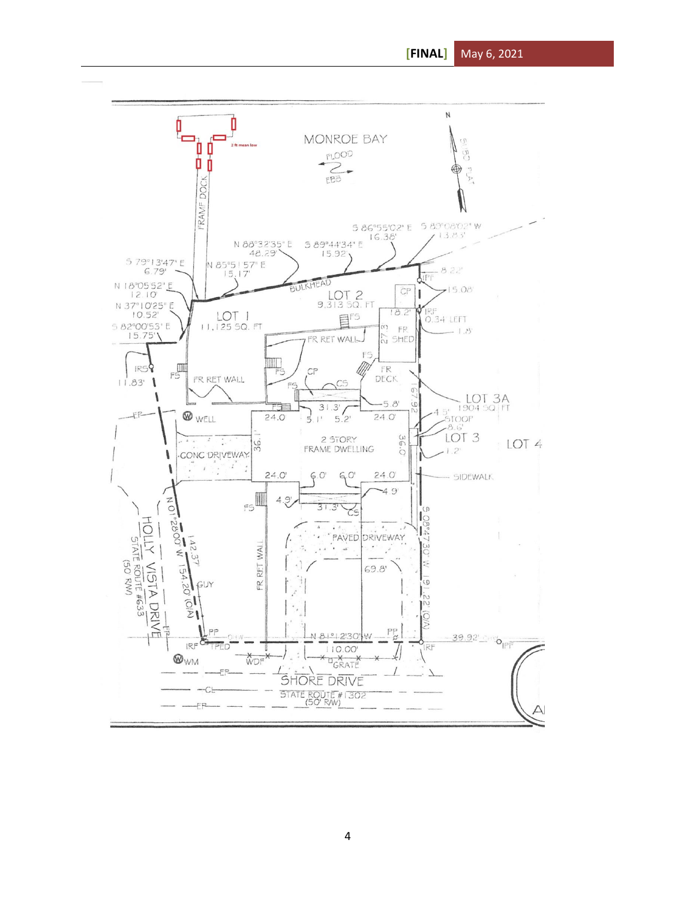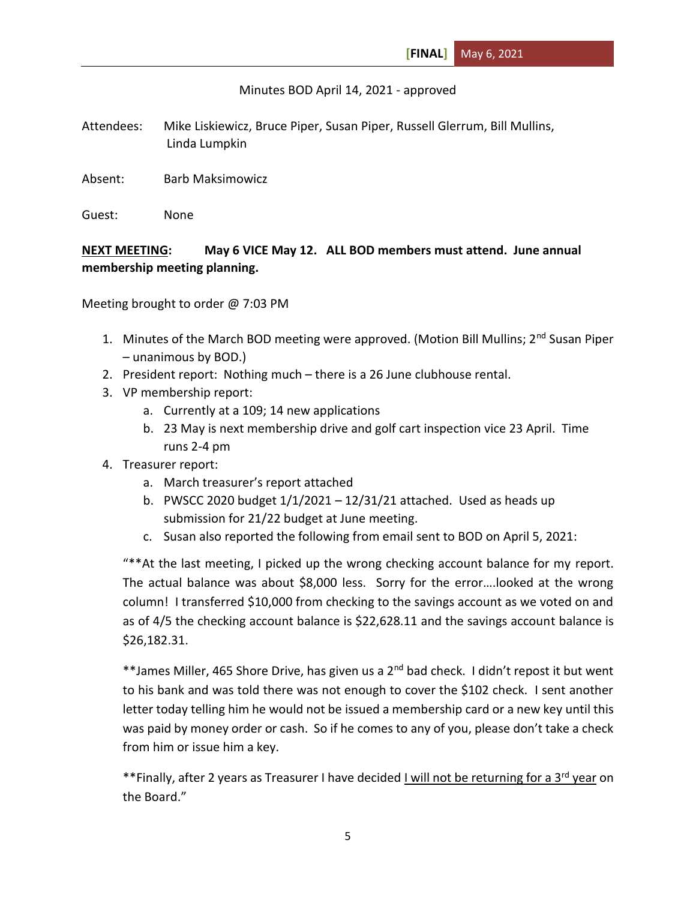Minutes BOD April 14, 2021 - approved

Attendees: Mike Liskiewicz, Bruce Piper, Susan Piper, Russell Glerrum, Bill Mullins, Linda Lumpkin

Absent: Barb Maksimowicz

Guest: None

**NEXT MEETING: May 6 VICE May 12. ALL BOD members must attend. June annual membership meeting planning.**

Meeting brought to order @ 7:03 PM

- 1. Minutes of the March BOD meeting were approved. (Motion Bill Mullins;  $2<sup>nd</sup>$  Susan Piper – unanimous by BOD.)
- 2. President report: Nothing much there is a 26 June clubhouse rental.
- 3. VP membership report:
	- a. Currently at a 109; 14 new applications
	- b. 23 May is next membership drive and golf cart inspection vice 23 April. Time runs 2-4 pm
- 4. Treasurer report:
	- a. March treasurer's report attached
	- b. PWSCC 2020 budget  $1/1/2021 12/31/21$  attached. Used as heads up submission for 21/22 budget at June meeting.
	- c. Susan also reported the following from email sent to BOD on April 5, 2021:

"\*\*At the last meeting, I picked up the wrong checking account balance for my report. The actual balance was about \$8,000 less. Sorry for the error….looked at the wrong column! I transferred \$10,000 from checking to the savings account as we voted on and as of 4/5 the checking account balance is \$22,628.11 and the savings account balance is \$26,182.31.

\*\*James Miller, 465 Shore Drive, has given us a 2<sup>nd</sup> bad check. I didn't repost it but went to his bank and was told there was not enough to cover the \$102 check. I sent another letter today telling him he would not be issued a membership card or a new key until this was paid by money order or cash. So if he comes to any of you, please don't take a check from him or issue him a key.

\*\*Finally, after 2 years as Treasurer I have decided I will not be returning for a 3<sup>rd</sup> year on the Board."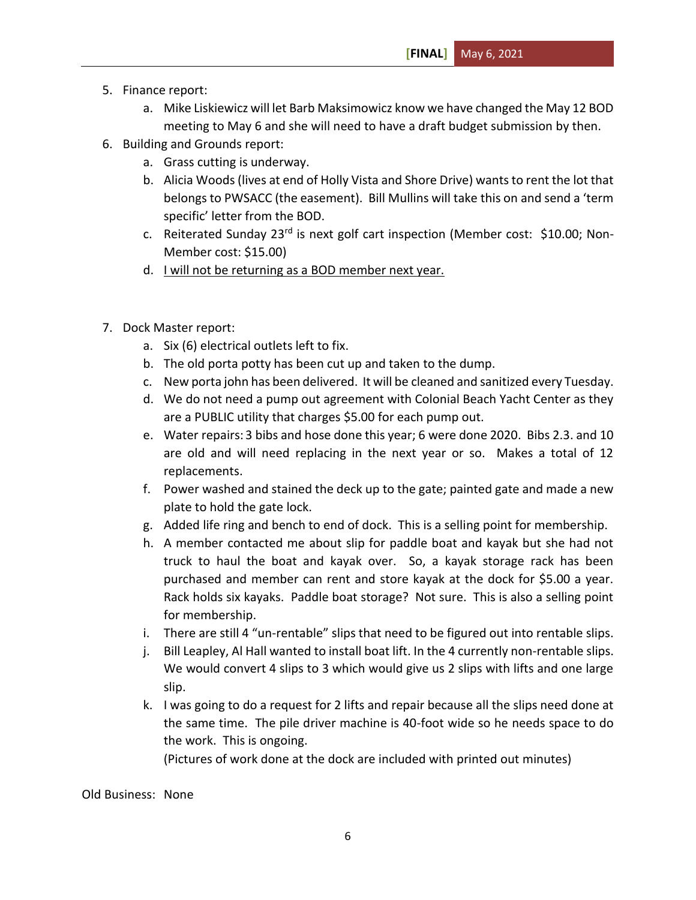- 5. Finance report:
	- a. Mike Liskiewicz will let Barb Maksimowicz know we have changed the May 12 BOD meeting to May 6 and she will need to have a draft budget submission by then.
- 6. Building and Grounds report:
	- a. Grass cutting is underway.
	- b. Alicia Woods(lives at end of Holly Vista and Shore Drive) wants to rent the lot that belongs to PWSACC (the easement). Bill Mullins will take this on and send a 'term specific' letter from the BOD.
	- c. Reiterated Sunday 23<sup>rd</sup> is next golf cart inspection (Member cost: \$10.00; Non-Member cost: \$15.00)
	- d. I will not be returning as a BOD member next year.
- 7. Dock Master report:
	- a. Six (6) electrical outlets left to fix.
	- b. The old porta potty has been cut up and taken to the dump.
	- c. New porta john has been delivered. It will be cleaned and sanitized every Tuesday.
	- d. We do not need a pump out agreement with Colonial Beach Yacht Center as they are a PUBLIC utility that charges \$5.00 for each pump out.
	- e. Water repairs: 3 bibs and hose done this year; 6 were done 2020. Bibs 2.3. and 10 are old and will need replacing in the next year or so. Makes a total of 12 replacements.
	- f. Power washed and stained the deck up to the gate; painted gate and made a new plate to hold the gate lock.
	- g. Added life ring and bench to end of dock. This is a selling point for membership.
	- h. A member contacted me about slip for paddle boat and kayak but she had not truck to haul the boat and kayak over. So, a kayak storage rack has been purchased and member can rent and store kayak at the dock for \$5.00 a year. Rack holds six kayaks. Paddle boat storage? Not sure. This is also a selling point for membership.
	- i. There are still 4 "un-rentable" slips that need to be figured out into rentable slips.
	- j. Bill Leapley, Al Hall wanted to install boat lift. In the 4 currently non-rentable slips. We would convert 4 slips to 3 which would give us 2 slips with lifts and one large slip.
	- k. I was going to do a request for 2 lifts and repair because all the slips need done at the same time. The pile driver machine is 40-foot wide so he needs space to do the work. This is ongoing.

(Pictures of work done at the dock are included with printed out minutes)

Old Business: None